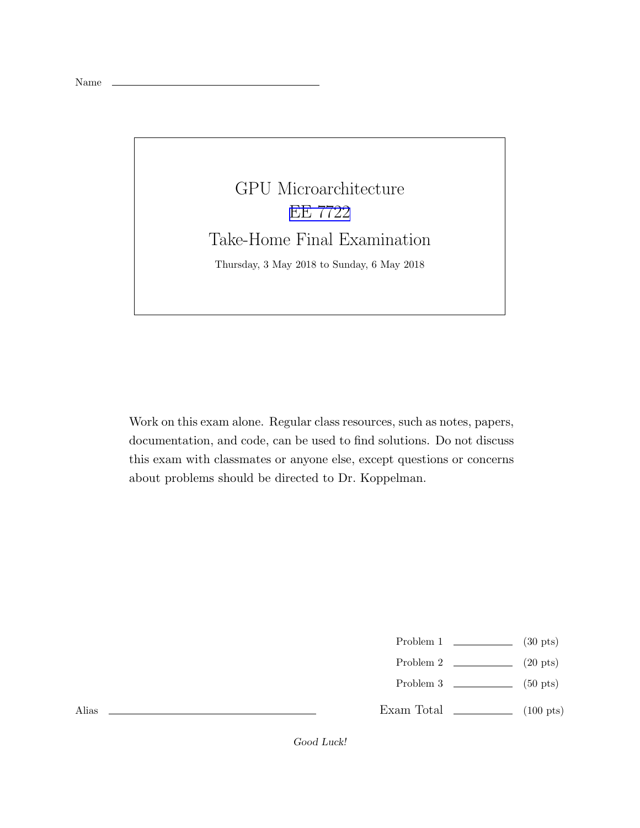## GPU Microarchitecture [EE 7722](http://www.ece.lsu.edu/gp/) Take-Home Final Examination Thursday, 3 May 2018 to Sunday, 6 May 2018

Work on this exam alone. Regular class resources, such as notes, papers, documentation, and code, can be used to find solutions. Do not discuss this exam with classmates or anyone else, except questions or concerns about problems should be directed to Dr. Koppelman.

- Problem 1  $\qquad \qquad$  (30 pts)
- Problem 2  $\qquad \qquad$  (20 pts)
- Problem 3 (50 pts)
- Exam Total \_\_\_\_\_\_\_\_\_\_\_\_\_\_ (100 pts)

Alias

Good Luck!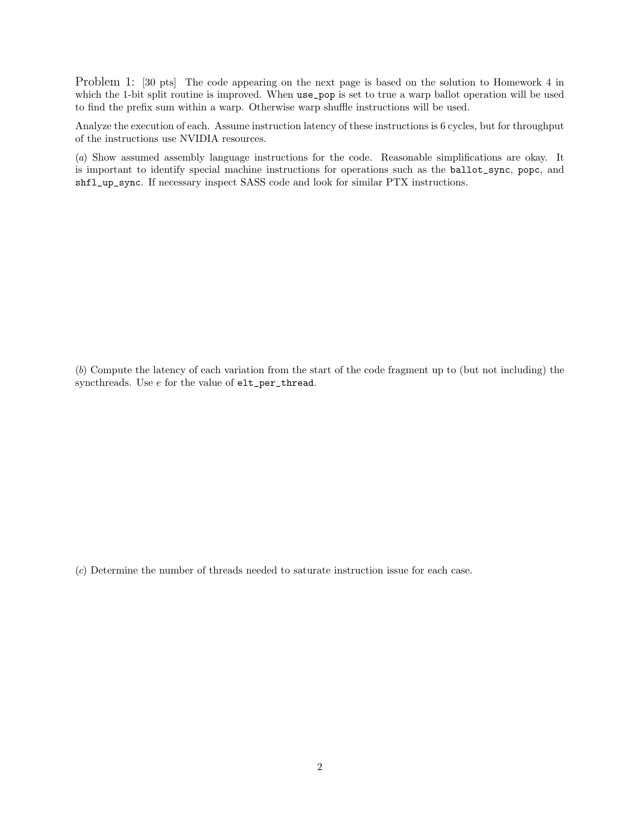Problem 1: [30 pts] The code appearing on the next page is based on the solution to Homework 4 in which the 1-bit split routine is improved. When use\_pop is set to true a warp ballot operation will be used to find the prefix sum within a warp. Otherwise warp shuffle instructions will be used.

Analyze the execution of each. Assume instruction latency of these instructions is 6 cycles, but for throughput of the instructions use NVIDIA resources.

(a) Show assumed assembly language instructions for the code. Reasonable simplifications are okay. It is important to identify special machine instructions for operations such as the ballot\_sync, popc, and shfl\_up\_sync. If necessary inspect SASS code and look for similar PTX instructions.

(b) Compute the latency of each variation from the start of the code fragment up to (but not including) the syncthreads. Use e for the value of elt\_per\_thread.

(c) Determine the number of threads needed to saturate instruction issue for each case.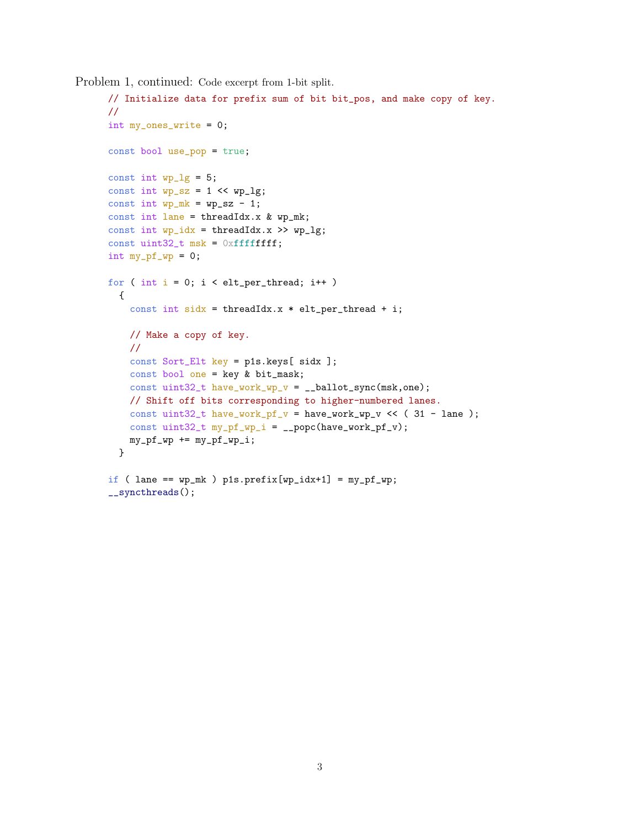Problem 1, continued: Code excerpt from 1-bit split.

```
// Initialize data for prefix sum of bit bit_pos, and make copy of key.
//
int my_ones_write = 0;
const bool use_pop = true;
const int wp_lg = 5;
const int wp\_sz = 1 \leq wp\_lg;const int wp_m k = wp_s z - 1;
const int lane = threadIdx.x & wp_mk;
const int wp\_idx = threadIdx.x \gg wp\_lg;const uint32_t msk = 0xfffffff;
int my_pf_wp = 0;
for ( int i = 0; i < elt_per_thread; i++ )
 {
    const int sidx = threadIdx.x * elt_per_thread + i;// Make a copy of key.
   //
   const Sort_Elt key = p1s.keys[ sidx ];
   const bool one = key & bit_mask;
   const uint32_t have_work_wp_v = __ballot_sync(msk,one);
   // Shift off bits corresponding to higher-numbered lanes.
    const uint32_t have_work_pf_v = have_work_wp_v << ( 31 - lane );
   const uint32_t my_pr_wp_i = \_popc(have\_work_pr_i);my_pf_wp \mathrel{+}= my_pf_wp_i;}
if ( lane == wp_mk ) p1s.prefix[wp_idx+1] = my_pfn_wp;
```

```
__syncthreads();
```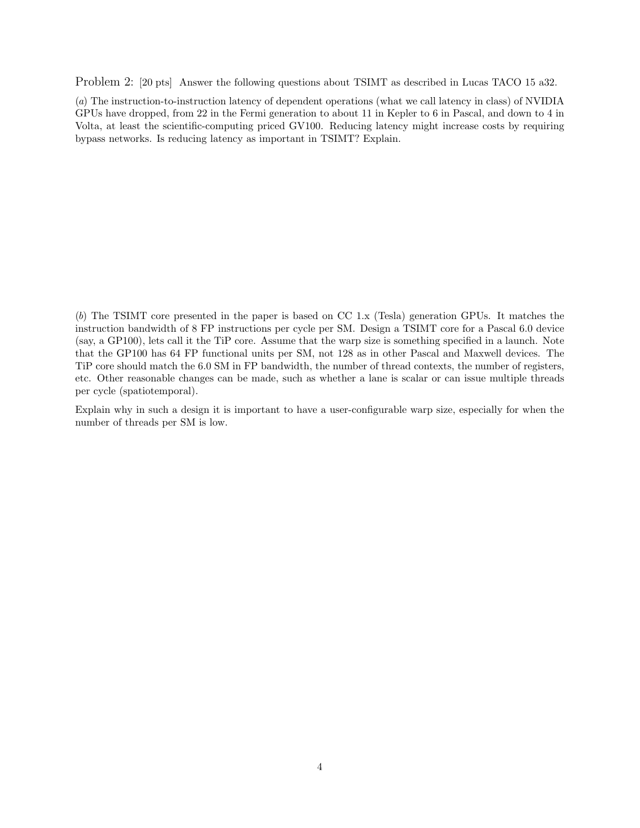Problem 2: [20 pts] Answer the following questions about TSIMT as described in Lucas TACO 15 a32.

(a) The instruction-to-instruction latency of dependent operations (what we call latency in class) of NVIDIA GPUs have dropped, from 22 in the Fermi generation to about 11 in Kepler to 6 in Pascal, and down to 4 in Volta, at least the scientific-computing priced GV100. Reducing latency might increase costs by requiring bypass networks. Is reducing latency as important in TSIMT? Explain.

(b) The TSIMT core presented in the paper is based on CC 1.x (Tesla) generation GPUs. It matches the instruction bandwidth of 8 FP instructions per cycle per SM. Design a TSIMT core for a Pascal 6.0 device (say, a GP100), lets call it the TiP core. Assume that the warp size is something specified in a launch. Note that the GP100 has 64 FP functional units per SM, not 128 as in other Pascal and Maxwell devices. The TiP core should match the 6.0 SM in FP bandwidth, the number of thread contexts, the number of registers, etc. Other reasonable changes can be made, such as whether a lane is scalar or can issue multiple threads per cycle (spatiotemporal).

Explain why in such a design it is important to have a user-configurable warp size, especially for when the number of threads per SM is low.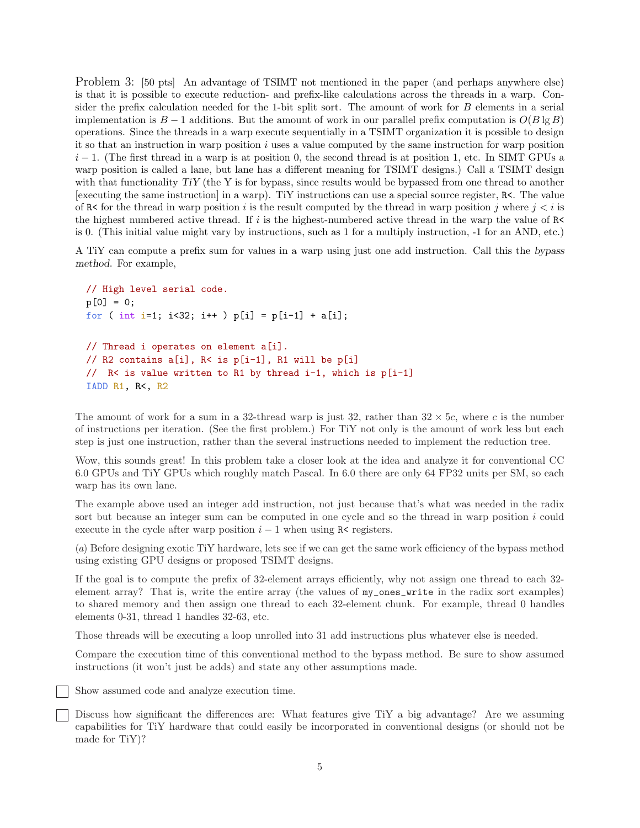Problem 3: [50 pts] An advantage of TSIMT not mentioned in the paper (and perhaps anywhere else) is that it is possible to execute reduction- and prefix-like calculations across the threads in a warp. Consider the prefix calculation needed for the 1-bit split sort. The amount of work for B elements in a serial implementation is  $B - 1$  additions. But the amount of work in our parallel prefix computation is  $O(B \lg B)$ operations. Since the threads in a warp execute sequentially in a TSIMT organization it is possible to design it so that an instruction in warp position  $i$  uses a value computed by the same instruction for warp position  $i-1$ . (The first thread in a warp is at position 0, the second thread is at position 1, etc. In SIMT GPUs a warp position is called a lane, but lane has a different meaning for TSIMT designs.) Call a TSIMT design with that functionality  $TiY$  (the Y is for bypass, since results would be bypassed from one thread to another [executing the same instruction] in a warp). TiY instructions can use a special source register, R<. The value of  $\mathbb{R}$  for the thread in warp position i is the result computed by the thread in warp position j where  $j < i$  is the highest numbered active thread. If i is the highest-numbered active thread in the warp the value of  $R$ is 0. (This initial value might vary by instructions, such as 1 for a multiply instruction, -1 for an AND, etc.)

A TiY can compute a prefix sum for values in a warp using just one add instruction. Call this the bypass method. For example,

```
// High level serial code.
p[0] = 0;for ( int i=1; i<32; i++ ) p[i] = p[i-1] + a[i];// Thread i operates on element a[i].
// R2 contains a[i], R< is p[i-1], R1 will be p[i]
// R< is value written to R1 by thread i-1, which is p[i-1]
IADD R1, R<, R2
```
The amount of work for a sum in a 32-thread warp is just 32, rather than  $32 \times 5c$ , where c is the number of instructions per iteration. (See the first problem.) For TiY not only is the amount of work less but each step is just one instruction, rather than the several instructions needed to implement the reduction tree.

Wow, this sounds great! In this problem take a closer look at the idea and analyze it for conventional CC 6.0 GPUs and TiY GPUs which roughly match Pascal. In 6.0 there are only 64 FP32 units per SM, so each warp has its own lane.

The example above used an integer add instruction, not just because that's what was needed in the radix sort but because an integer sum can be computed in one cycle and so the thread in warp position i could execute in the cycle after warp position  $i - 1$  when using R< registers.

(a) Before designing exotic TiY hardware, lets see if we can get the same work efficiency of the bypass method using existing GPU designs or proposed TSIMT designs.

If the goal is to compute the prefix of 32-element arrays efficiently, why not assign one thread to each 32 element array? That is, write the entire array (the values of my\_ones\_write in the radix sort examples) to shared memory and then assign one thread to each 32-element chunk. For example, thread 0 handles elements 0-31, thread 1 handles 32-63, etc.

Those threads will be executing a loop unrolled into 31 add instructions plus whatever else is needed.

Compare the execution time of this conventional method to the bypass method. Be sure to show assumed instructions (it won't just be adds) and state any other assumptions made.

Show assumed code and analyze execution time.

Discuss how significant the differences are: What features give TiY a big advantage? Are we assuming capabilities for TiY hardware that could easily be incorporated in conventional designs (or should not be made for TiY)?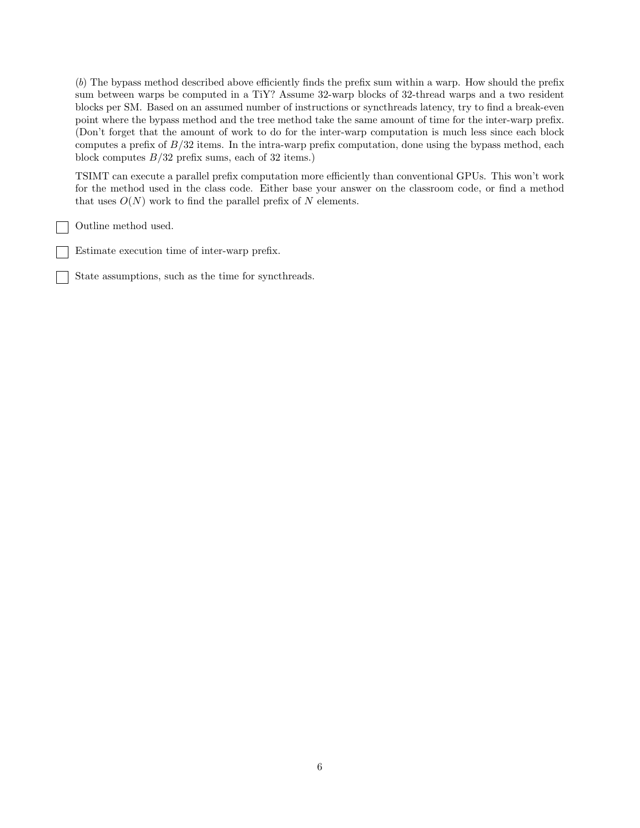(b) The bypass method described above efficiently finds the prefix sum within a warp. How should the prefix sum between warps be computed in a TiY? Assume 32-warp blocks of 32-thread warps and a two resident blocks per SM. Based on an assumed number of instructions or syncthreads latency, try to find a break-even point where the bypass method and the tree method take the same amount of time for the inter-warp prefix. (Don't forget that the amount of work to do for the inter-warp computation is much less since each block computes a prefix of  $B/32$  items. In the intra-warp prefix computation, done using the bypass method, each block computes  $B/32$  prefix sums, each of 32 items.)

TSIMT can execute a parallel prefix computation more efficiently than conventional GPUs. This won't work for the method used in the class code. Either base your answer on the classroom code, or find a method that uses  $O(N)$  work to find the parallel prefix of N elements.

Outline method used.

Estimate execution time of inter-warp prefix.

State assumptions, such as the time for syncthreads.